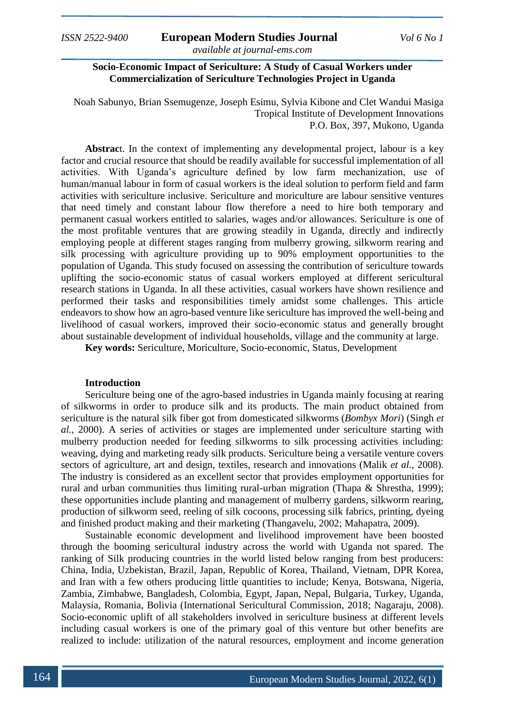**Socio-Economic Impact of Sericulture: A Study of Casual Workers under Commercialization of Sericulture Technologies Project in Uganda**

Noah Sabunyo, Brian Ssemugenze, Joseph Esimu, Sylvia Kibone and Clet Wandui Masiga Tropical Institute of Development Innovations P.O. Box, 397, Mukono, Uganda

**Abstrac**t. In the context of implementing any developmental project, labour is a key factor and crucial resource that should be readily available for successful implementation of all activities. With Uganda's agriculture defined by low farm mechanization, use of human/manual labour in form of casual workers is the ideal solution to perform field and farm activities with sericulture inclusive. Sericulture and moriculture are labour sensitive ventures that need timely and constant labour flow therefore a need to hire both temporary and permanent casual workers entitled to salaries, wages and/or allowances. Sericulture is one of the most profitable ventures that are growing steadily in Uganda, directly and indirectly employing people at different stages ranging from mulberry growing, silkworm rearing and silk processing with agriculture providing up to 90% employment opportunities to the population of Uganda. This study focused on assessing the contribution of sericulture towards uplifting the socio-economic status of casual workers employed at different sericultural research stations in Uganda. In all these activities, casual workers have shown resilience and performed their tasks and responsibilities timely amidst some challenges. This article endeavors to show how an agro-based venture like sericulture has improved the well-being and livelihood of casual workers, improved their socio-economic status and generally brought about sustainable development of individual households, village and the community at large.

**Key words:** Sericulture, Moriculture, Socio-economic, Status, Development

#### **Introduction**

Sericulture being one of the agro-based industries in Uganda mainly focusing at rearing of silkworms in order to produce silk and its products. The main product obtained from sericulture is the natural silk fiber got from domesticated silkworms (*Bombyx Mori*) (Singh *et al.,* 2000). A series of activities or stages are implemented under sericulture starting with mulberry production needed for feeding silkworms to silk processing activities including: weaving, dying and marketing ready silk products. Sericulture being a versatile venture covers sectors of agriculture, art and design, textiles, research and innovations (Malik *et al.*, 2008). The industry is considered as an excellent sector that provides employment opportunities for rural and urban communities thus limiting rural-urban migration (Thapa & Shrestha, 1999); these opportunities include planting and management of mulberry gardens, silkworm rearing, production of silkworm seed, reeling of silk cocoons, processing silk fabrics, printing, dyeing and finished product making and their marketing (Thangavelu, 2002; Mahapatra, 2009).

Sustainable economic development and livelihood improvement have been boosted through the booming sericultural industry across the world with Uganda not spared. The ranking of Silk producing countries in the world listed below ranging from best producers: China, India, Uzbekistan, Brazil, Japan, Republic of Korea, Thailand, Vietnam, DPR Korea, and Iran with a few others producing little quantities to include; Kenya, Botswana, Nigeria, Zambia, Zimbabwe, Bangladesh, Colombia, Egypt, Japan, Nepal, Bulgaria, Turkey, Uganda, Malaysia, Romania, Bolivia (International Sericultural Commission, 2018; Nagaraju, 2008). Socio-economic uplift of all stakeholders involved in sericulture business at different levels including casual workers is one of the primary goal of this venture but other benefits are realized to include: utilization of the natural resources, employment and income generation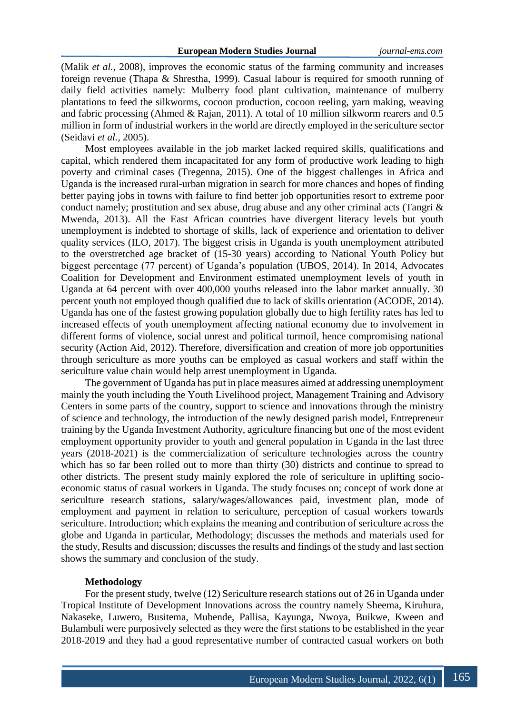(Malik *et al.,* 2008), improves the economic status of the farming community and increases foreign revenue (Thapa & Shrestha, 1999). Casual labour is required for smooth running of daily field activities namely: Mulberry food plant cultivation, maintenance of mulberry plantations to feed the silkworms, cocoon production, cocoon reeling, yarn making, weaving and fabric processing (Ahmed & Rajan, 2011). A total of 10 million silkworm rearers and 0.5 million in form of industrial workers in the world are directly employed in the sericulture sector (Seidavi *et al.,* 2005).

Most employees available in the job market lacked required skills, qualifications and capital, which rendered them incapacitated for any form of productive work leading to high poverty and criminal cases (Tregenna, 2015). One of the biggest challenges in Africa and Uganda is the increased rural-urban migration in search for more chances and hopes of finding better paying jobs in towns with failure to find better job opportunities resort to extreme poor conduct namely; prostitution and sex abuse, drug abuse and any other criminal acts (Tangri & Mwenda, 2013). All the East African countries have divergent literacy levels but youth unemployment is indebted to shortage of skills, lack of experience and orientation to deliver quality services (ILO, 2017). The biggest crisis in Uganda is youth unemployment attributed to the overstretched age bracket of (15-30 years) according to National Youth Policy but biggest percentage (77 percent) of Uganda's population (UBOS, 2014). In 2014, Advocates Coalition for Development and Environment estimated unemployment levels of youth in Uganda at 64 percent with over 400,000 youths released into the labor market annually. 30 percent youth not employed though qualified due to lack of skills orientation (ACODE, 2014). Uganda has one of the fastest growing population globally due to high fertility rates has led to increased effects of youth unemployment affecting national economy due to involvement in different forms of violence, social unrest and political turmoil, hence compromising national security (Action Aid, 2012). Therefore, diversification and creation of more job opportunities through sericulture as more youths can be employed as casual workers and staff within the sericulture value chain would help arrest unemployment in Uganda.

The government of Uganda has put in place measures aimed at addressing unemployment mainly the youth including the Youth Livelihood project, Management Training and Advisory Centers in some parts of the country, support to science and innovations through the ministry of science and technology, the introduction of the newly designed parish model, Entrepreneur training by the Uganda Investment Authority, agriculture financing but one of the most evident employment opportunity provider to youth and general population in Uganda in the last three years (2018-2021) is the commercialization of sericulture technologies across the country which has so far been rolled out to more than thirty (30) districts and continue to spread to other districts. The present study mainly explored the role of sericulture in uplifting socioeconomic status of casual workers in Uganda. The study focuses on; concept of work done at sericulture research stations, salary/wages/allowances paid, investment plan, mode of employment and payment in relation to sericulture, perception of casual workers towards sericulture. Introduction; which explains the meaning and contribution of sericulture across the globe and Uganda in particular, Methodology; discusses the methods and materials used for the study, Results and discussion; discusses the results and findings of the study and last section shows the summary and conclusion of the study.

## **Methodology**

For the present study, twelve (12) Sericulture research stations out of 26 in Uganda under Tropical Institute of Development Innovations across the country namely Sheema, Kiruhura, Nakaseke, Luwero, Busitema, Mubende, Pallisa, Kayunga, Nwoya, Buikwe, Kween and Bulambuli were purposively selected as they were the first stations to be established in the year 2018-2019 and they had a good representative number of contracted casual workers on both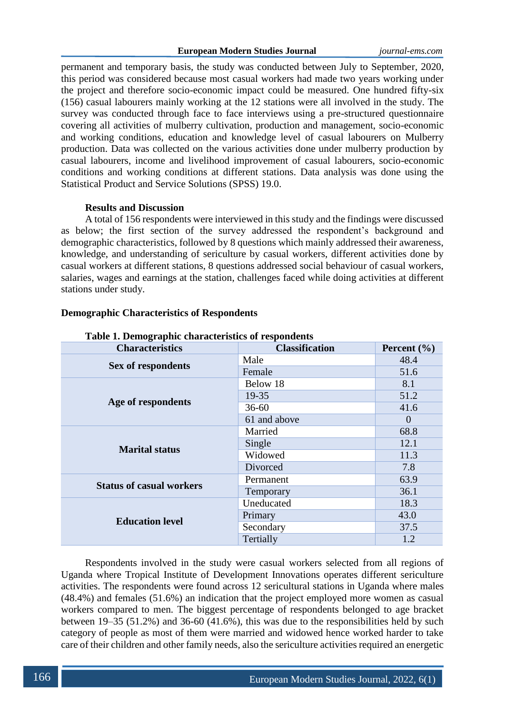permanent and temporary basis, the study was conducted between July to September, 2020, this period was considered because most casual workers had made two years working under the project and therefore socio-economic impact could be measured. One hundred fifty-six (156) casual labourers mainly working at the 12 stations were all involved in the study. The survey was conducted through face to face interviews using a pre-structured questionnaire covering all activities of mulberry cultivation, production and management, socio-economic and working conditions, education and knowledge level of casual labourers on Mulberry production. Data was collected on the various activities done under mulberry production by casual labourers, income and livelihood improvement of casual labourers, socio-economic conditions and working conditions at different stations. Data analysis was done using the Statistical Product and Service Solutions (SPSS) 19.0.

### **Results and Discussion**

A total of 156 respondents were interviewed in this study and the findings were discussed as below; the first section of the survey addressed the respondent's background and demographic characteristics, followed by 8 questions which mainly addressed their awareness, knowledge, and understanding of sericulture by casual workers, different activities done by casual workers at different stations, 8 questions addressed social behaviour of casual workers, salaries, wages and earnings at the station, challenges faced while doing activities at different stations under study.

| Table 1. Demographic characteristics of respondents |                       |                 |  |
|-----------------------------------------------------|-----------------------|-----------------|--|
| <b>Characteristics</b>                              | <b>Classification</b> | Percent $(\% )$ |  |
| Sex of respondents                                  | Male                  | 48.4            |  |
|                                                     | Female                | 51.6            |  |
|                                                     | Below 18              | 8.1             |  |
|                                                     | 19-35                 | 51.2            |  |
| Age of respondents                                  | $36 - 60$             | 41.6            |  |
|                                                     | 61 and above          | $\theta$        |  |
| <b>Marital status</b>                               | Married               | 68.8            |  |
|                                                     | Single                | 12.1            |  |
|                                                     | Widowed               | 11.3            |  |
|                                                     | Divorced              | 7.8             |  |
|                                                     | Permanent             | 63.9            |  |
| <b>Status of casual workers</b>                     | Temporary             | 36.1            |  |
| <b>Education level</b>                              | Uneducated            | 18.3            |  |
|                                                     | Primary               | 43.0            |  |
|                                                     | Secondary             | 37.5            |  |
|                                                     | Tertially             | 1.2             |  |

#### **Demographic Characteristics of Respondents**

**Table 1. Demographic characteristics of respondents**

Respondents involved in the study were casual workers selected from all regions of Uganda where Tropical Institute of Development Innovations operates different sericulture activities. The respondents were found across 12 sericultural stations in Uganda where males (48.4%) and females (51.6%) an indication that the project employed more women as casual workers compared to men. The biggest percentage of respondents belonged to age bracket between 19–35 (51.2%) and 36-60 (41.6%), this was due to the responsibilities held by such category of people as most of them were married and widowed hence worked harder to take care of their children and other family needs, also the sericulture activities required an energetic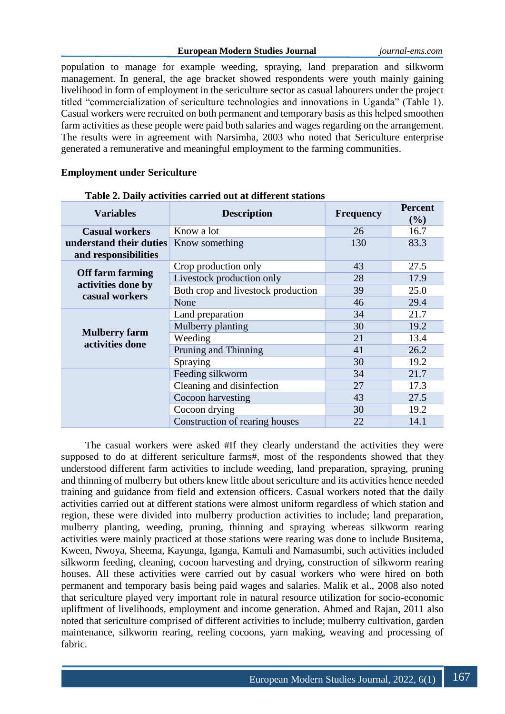population to manage for example weeding, spraying, land preparation and silkworm management. In general, the age bracket showed respondents were youth mainly gaining livelihood in form of employment in the sericulture sector as casual labourers under the project titled "commercialization of sericulture technologies and innovations in Uganda" (Table 1). Casual workers were recruited on both permanent and temporary basis as this helped smoothen farm activities as these people were paid both salaries and wages regarding on the arrangement. The results were in agreement with Narsimha, 2003 who noted that Sericulture enterprise generated a remunerative and meaningful employment to the farming communities.

## **Employment under Sericulture**

| <b>Variables</b>                                               | <b>Description</b>                 | <b>Frequency</b> | <b>Percent</b><br>(%) |
|----------------------------------------------------------------|------------------------------------|------------------|-----------------------|
| <b>Casual workers</b>                                          | Know a lot                         | 26               | 16.7                  |
| understand their duties Know something<br>and responsibilities |                                    | 130              | 83.3                  |
|                                                                | Crop production only               | 43               | 27.5                  |
| <b>Off farm farming</b>                                        | Livestock production only          | 28               | 17.9                  |
| activities done by<br>casual workers                           | Both crop and livestock production | 39               | 25.0                  |
|                                                                | None                               | 46               | 29.4                  |
| <b>Mulberry farm</b><br>activities done                        | Land preparation                   | 34               | 21.7                  |
|                                                                | Mulberry planting                  | 30               | 19.2                  |
|                                                                | Weeding                            | 21               | 13.4                  |
|                                                                | Pruning and Thinning               | 41               | 26.2                  |
|                                                                | Spraying                           | 30               | 19.2                  |
|                                                                | Feeding silkworm                   | 34               | 21.7                  |
|                                                                | Cleaning and disinfection          | 27               | 17.3                  |
|                                                                | Cocoon harvesting                  | 43               | 27.5                  |
|                                                                | Cocoon drying                      | 30               | 19.2                  |
|                                                                | Construction of rearing houses     | 22               | 14.1                  |

## **Table 2. Daily activities carried out at different stations**

The casual workers were asked #If they clearly understand the activities they were supposed to do at different sericulture farms#, most of the respondents showed that they understood different farm activities to include weeding, land preparation, spraying, pruning and thinning of mulberry but others knew little about sericulture and its activities hence needed training and guidance from field and extension officers. Casual workers noted that the daily activities carried out at different stations were almost uniform regardless of which station and region, these were divided into mulberry production activities to include; land preparation, mulberry planting, weeding, pruning, thinning and spraying whereas silkworm rearing activities were mainly practiced at those stations were rearing was done to include Busitema, Kween, Nwoya, Sheema, Kayunga, Iganga, Kamuli and Namasumbi, such activities included silkworm feeding, cleaning, cocoon harvesting and drying, construction of silkworm rearing houses. All these activities were carried out by casual workers who were hired on both permanent and temporary basis being paid wages and salaries. Malik et al., 2008 also noted that sericulture played very important role in natural resource utilization for socio-economic upliftment of livelihoods, employment and income generation. Ahmed and Rajan, 2011 also noted that sericulture comprised of different activities to include; mulberry cultivation, garden maintenance, silkworm rearing, reeling cocoons, yarn making, weaving and processing of fabric.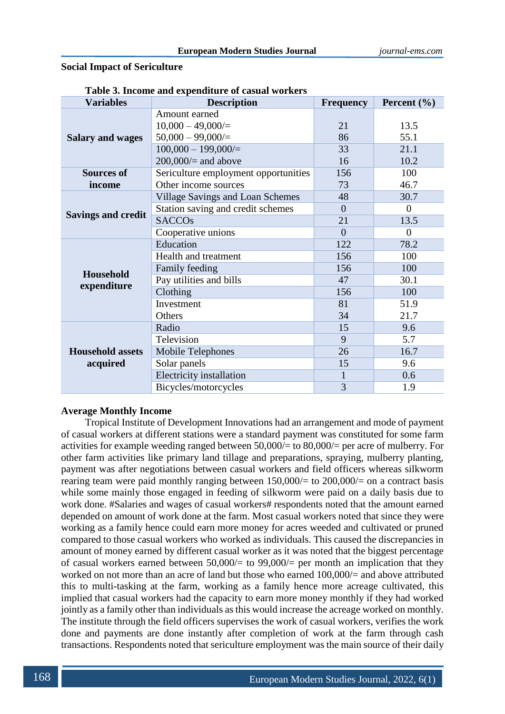### **Social Impact of Sericulture**

| <b>Variables</b>          | radic 9. međnie and expenditure or casuar workers<br><b>Description</b> | <b>Frequency</b> | Percent $(\% )$ |
|---------------------------|-------------------------------------------------------------------------|------------------|-----------------|
|                           | Amount earned                                                           |                  |                 |
|                           | $10,000 - 49,000/$                                                      | 21               | 13.5            |
| <b>Salary and wages</b>   | $50,000 - 99,000/$                                                      | 86               | 55.1            |
|                           | $100,000 - 199,000/$                                                    | 33               | 21.1            |
|                           | $200,000/$ and above                                                    | 16               | 10.2            |
| <b>Sources of</b>         | Sericulture employment opportunities                                    | 156              | 100             |
| income                    | Other income sources                                                    | 73               | 46.7            |
|                           | <b>Village Savings and Loan Schemes</b>                                 | 48               | 30.7            |
|                           | Station saving and credit schemes                                       | $\Omega$         | $\Omega$        |
| <b>Savings and credit</b> | <b>SACCOs</b>                                                           | 21               | 13.5            |
|                           | Cooperative unions                                                      | $\Omega$         | $\theta$        |
|                           | Education                                                               | 122              | 78.2            |
|                           | Health and treatment                                                    | 156              | 100             |
| Household                 | Family feeding                                                          | 156              | 100             |
| expenditure               | Pay utilities and bills                                                 | 47               | 30.1            |
|                           | Clothing                                                                | 156              | 100             |
|                           | Investment                                                              | 81               | 51.9            |
|                           | Others                                                                  | 34               | 21.7            |
|                           | Radio                                                                   | 15               | 9.6             |
|                           | Television                                                              | 9                | 5.7             |
| <b>Household assets</b>   | Mobile Telephones                                                       | 26               | 16.7            |
| acquired                  | Solar panels                                                            | 15               | 9.6             |
|                           | <b>Electricity installation</b>                                         | 1                | 0.6             |
|                           | Bicycles/motorcycles                                                    | 3                | 1.9             |

| Table 3. Income and expenditure of casual workers |  |  |
|---------------------------------------------------|--|--|
|---------------------------------------------------|--|--|

## **Average Monthly Income**

Tropical Institute of Development Innovations had an arrangement and mode of payment of casual workers at different stations were a standard payment was constituted for some farm activities for example weeding ranged between 50,000/= to 80,000/= per acre of mulberry. For other farm activities like primary land tillage and preparations, spraying, mulberry planting, payment was after negotiations between casual workers and field officers whereas silkworm rearing team were paid monthly ranging between 150,000/= to 200,000/= on a contract basis while some mainly those engaged in feeding of silkworm were paid on a daily basis due to work done. #Salaries and wages of casual workers# respondents noted that the amount earned depended on amount of work done at the farm. Most casual workers noted that since they were working as a family hence could earn more money for acres weeded and cultivated or pruned compared to those casual workers who worked as individuals. This caused the discrepancies in amount of money earned by different casual worker as it was noted that the biggest percentage of casual workers earned between  $50,000/=$  to  $99,000/=$  per month an implication that they worked on not more than an acre of land but those who earned 100,000/= and above attributed this to multi-tasking at the farm, working as a family hence more acreage cultivated, this implied that casual workers had the capacity to earn more money monthly if they had worked jointly as a family other than individuals as this would increase the acreage worked on monthly. The institute through the field officers supervises the work of casual workers, verifies the work done and payments are done instantly after completion of work at the farm through cash transactions. Respondents noted that sericulture employment was the main source of their daily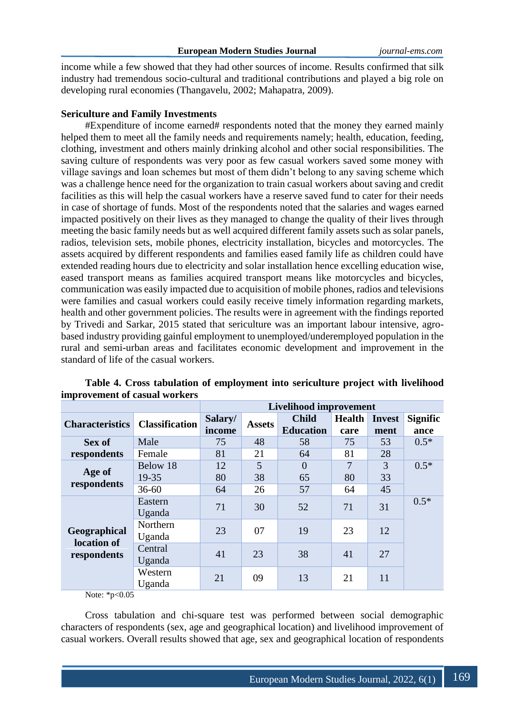income while a few showed that they had other sources of income. Results confirmed that silk industry had tremendous socio-cultural and traditional contributions and played a big role on developing rural economies (Thangavelu, 2002; Mahapatra, 2009).

### **Sericulture and Family Investments**

#Expenditure of income earned# respondents noted that the money they earned mainly helped them to meet all the family needs and requirements namely; health, education, feeding, clothing, investment and others mainly drinking alcohol and other social responsibilities. The saving culture of respondents was very poor as few casual workers saved some money with village savings and loan schemes but most of them didn't belong to any saving scheme which was a challenge hence need for the organization to train casual workers about saving and credit facilities as this will help the casual workers have a reserve saved fund to cater for their needs in case of shortage of funds. Most of the respondents noted that the salaries and wages earned impacted positively on their lives as they managed to change the quality of their lives through meeting the basic family needs but as well acquired different family assets such as solar panels, radios, television sets, mobile phones, electricity installation, bicycles and motorcycles. The assets acquired by different respondents and families eased family life as children could have extended reading hours due to electricity and solar installation hence excelling education wise, eased transport means as families acquired transport means like motorcycles and bicycles, communication was easily impacted due to acquisition of mobile phones, radios and televisions were families and casual workers could easily receive timely information regarding markets, health and other government policies. The results were in agreement with the findings reported by Trivedi and Sarkar, 2015 stated that sericulture was an important labour intensive, agrobased industry providing gainful employment to unemployed/underemployed population in the rural and semi-urban areas and facilitates economic development and improvement in the standard of life of the casual workers.

|                                            |                       | <b>Livelihood improvement</b> |               |                  |               |               |                 |
|--------------------------------------------|-----------------------|-------------------------------|---------------|------------------|---------------|---------------|-----------------|
| <b>Characteristics</b>                     | <b>Classification</b> | Salary/                       | <b>Assets</b> | <b>Child</b>     | <b>Health</b> | <b>Invest</b> | <b>Signific</b> |
|                                            |                       | income                        |               | <b>Education</b> | care          | ment          | ance            |
| Sex of                                     | Male                  | 75                            | 48            | 58               | 75            | 53            | $0.5*$          |
| respondents                                | Female                | 81                            | 21            | 64               | 81            | 28            |                 |
|                                            | Below 18              | 12                            | 5             | $\Omega$         | 7             | 3             | $0.5*$          |
| Age of<br>respondents                      | 19-35                 | 80                            | 38            | 65               | 80            | 33            |                 |
|                                            | $36 - 60$             | 64                            | 26            | 57               | 64            | 45            |                 |
| Geographical<br>location of<br>respondents | Eastern               | 71                            | 30            | 52               | 71            | 31            | $0.5*$          |
|                                            | Uganda                |                               |               |                  |               |               |                 |
|                                            | Northern              | 23                            | 07            | 19               | 23            | 12            |                 |
|                                            | Uganda                |                               |               |                  |               |               |                 |
|                                            | Central               | 41                            | 23            | 38               | 41            | 27            |                 |
|                                            | Uganda                |                               |               |                  |               |               |                 |
|                                            | Western               | 21                            | 09            | 13               | 21            | 11            |                 |
|                                            | Uganda                |                               |               |                  |               |               |                 |

# **Table 4. Cross tabulation of employment into sericulture project with livelihood improvement of casual workers**

Note: \*p<0.05

Cross tabulation and chi-square test was performed between social demographic characters of respondents (sex, age and geographical location) and livelihood improvement of casual workers. Overall results showed that age, sex and geographical location of respondents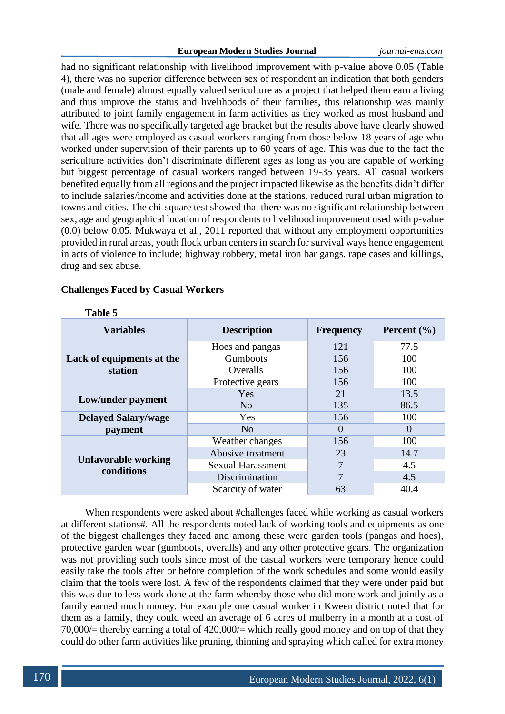### **European Modern Studies Journal** *journal-ems.com*

had no significant relationship with livelihood improvement with p-value above 0.05 (Table 4), there was no superior difference between sex of respondent an indication that both genders (male and female) almost equally valued sericulture as a project that helped them earn a living and thus improve the status and livelihoods of their families, this relationship was mainly attributed to joint family engagement in farm activities as they worked as most husband and wife. There was no specifically targeted age bracket but the results above have clearly showed that all ages were employed as casual workers ranging from those below 18 years of age who worked under supervision of their parents up to 60 years of age. This was due to the fact the sericulture activities don't discriminate different ages as long as you are capable of working but biggest percentage of casual workers ranged between 19-35 years. All casual workers benefited equally from all regions and the project impacted likewise as the benefits didn't differ to include salaries/income and activities done at the stations, reduced rural urban migration to towns and cities. The chi-square test showed that there was no significant relationship between sex, age and geographical location of respondents to livelihood improvement used with p-value (0.0) below 0.05. Mukwaya et al., 2011 reported that without any employment opportunities provided in rural areas, youth flock urban centers in search for survival ways hence engagement in acts of violence to include; highway robbery, metal iron bar gangs, rape cases and killings, drug and sex abuse.

## **Challenges Faced by Casual Workers**

| <b>Variables</b>                  | <b>Description</b>       | <b>Frequency</b> | Percent $(\% )$ |
|-----------------------------------|--------------------------|------------------|-----------------|
|                                   | Hoes and pangas          | 121              | 77.5            |
| Lack of equipments at the         | Gumboots                 | 156              | 100             |
| station                           | Overalls                 | 156              | 100             |
|                                   | Protective gears         | 156              | 100             |
| Low/under payment                 | Yes                      | 21               | 13.5            |
|                                   | N <sub>0</sub>           | 135              | 86.5            |
| <b>Delayed Salary/wage</b>        | Yes                      | 156              | 100             |
| payment                           | N <sub>o</sub>           | $\overline{0}$   | $\theta$        |
| Unfavorable working<br>conditions | Weather changes          | 156              | 100             |
|                                   | Abusive treatment        | 23               | 14.7            |
|                                   | <b>Sexual Harassment</b> | 7                | 4.5             |
|                                   | Discrimination           | 7                | 4.5             |
|                                   | Scarcity of water        | 63               | 40.4            |

**Table 5**

When respondents were asked about #challenges faced while working as casual workers at different stations#. All the respondents noted lack of working tools and equipments as one of the biggest challenges they faced and among these were garden tools (pangas and hoes), protective garden wear (gumboots, overalls) and any other protective gears. The organization was not providing such tools since most of the casual workers were temporary hence could easily take the tools after or before completion of the work schedules and some would easily claim that the tools were lost. A few of the respondents claimed that they were under paid but this was due to less work done at the farm whereby those who did more work and jointly as a family earned much money. For example one casual worker in Kween district noted that for them as a family, they could weed an average of 6 acres of mulberry in a month at a cost of 70,000/= thereby earning a total of 420,000/= which really good money and on top of that they could do other farm activities like pruning, thinning and spraying which called for extra money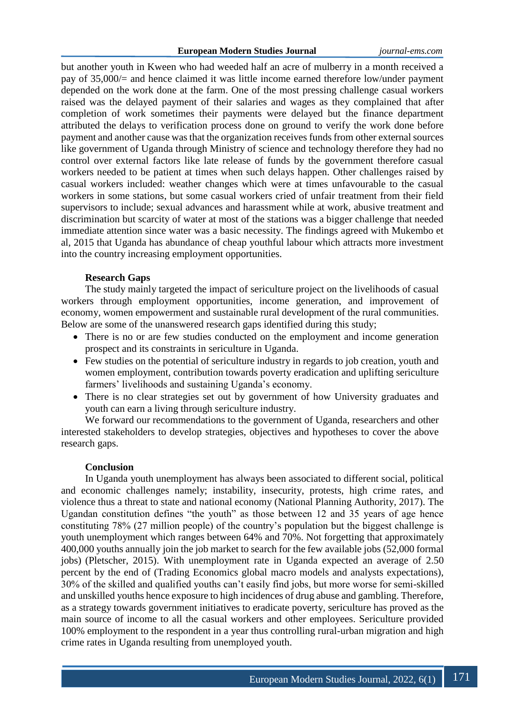but another youth in Kween who had weeded half an acre of mulberry in a month received a pay of 35,000/= and hence claimed it was little income earned therefore low/under payment depended on the work done at the farm. One of the most pressing challenge casual workers raised was the delayed payment of their salaries and wages as they complained that after completion of work sometimes their payments were delayed but the finance department attributed the delays to verification process done on ground to verify the work done before payment and another cause was that the organization receives funds from other external sources like government of Uganda through Ministry of science and technology therefore they had no control over external factors like late release of funds by the government therefore casual workers needed to be patient at times when such delays happen. Other challenges raised by casual workers included: weather changes which were at times unfavourable to the casual workers in some stations, but some casual workers cried of unfair treatment from their field supervisors to include; sexual advances and harassment while at work, abusive treatment and discrimination but scarcity of water at most of the stations was a bigger challenge that needed immediate attention since water was a basic necessity. The findings agreed with Mukembo et al, 2015 that Uganda has abundance of cheap youthful labour which attracts more investment into the country increasing employment opportunities.

## **Research Gaps**

The study mainly targeted the impact of sericulture project on the livelihoods of casual workers through employment opportunities, income generation, and improvement of economy, women empowerment and sustainable rural development of the rural communities. Below are some of the unanswered research gaps identified during this study;

- There is no or are few studies conducted on the employment and income generation prospect and its constraints in sericulture in Uganda.
- Few studies on the potential of sericulture industry in regards to job creation, youth and women employment, contribution towards poverty eradication and uplifting sericulture farmers' livelihoods and sustaining Uganda's economy.
- There is no clear strategies set out by government of how University graduates and youth can earn a living through sericulture industry.

We forward our recommendations to the government of Uganda, researchers and other interested stakeholders to develop strategies, objectives and hypotheses to cover the above research gaps.

### **Conclusion**

In Uganda youth unemployment has always been associated to different social, political and economic challenges namely; instability, insecurity, protests, high crime rates, and violence thus a threat to state and national economy (National Planning Authority, 2017). The Ugandan constitution defines "the youth" as those between 12 and 35 years of age hence constituting 78% (27 million people) of the country's population but the biggest challenge is youth unemployment which ranges between 64% and 70%. Not forgetting that approximately 400,000 youths annually join the job market to search for the few available jobs (52,000 formal jobs) (Pletscher, 2015). With unemployment rate in Uganda expected an average of 2.50 percent by the end of (Trading Economics global macro models and analysts expectations), 30% of the skilled and qualified youths can't easily find jobs, but more worse for semi-skilled and unskilled youths hence exposure to high incidences of drug abuse and gambling. Therefore, as a strategy towards government initiatives to eradicate poverty, sericulture has proved as the main source of income to all the casual workers and other employees. Sericulture provided 100% employment to the respondent in a year thus controlling rural-urban migration and high crime rates in Uganda resulting from unemployed youth.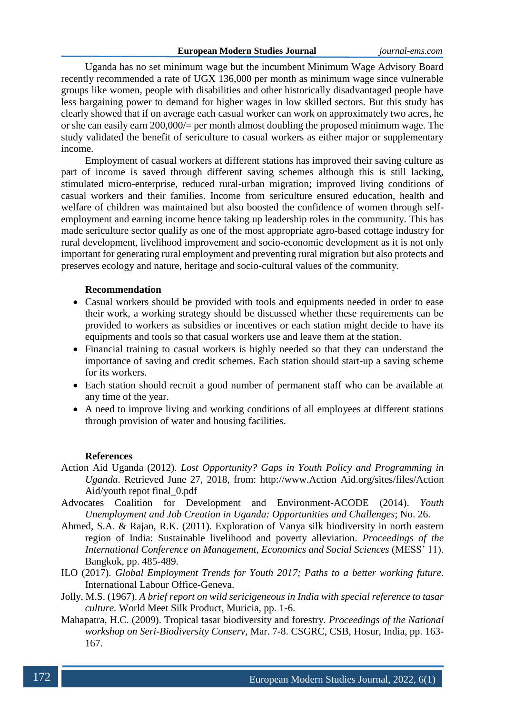Uganda has no set minimum wage but the incumbent Minimum Wage Advisory Board recently recommended a rate of UGX 136,000 per month as minimum wage since vulnerable groups like women, people with disabilities and other historically disadvantaged people have less bargaining power to demand for higher wages in low skilled sectors. But this study has clearly showed that if on average each casual worker can work on approximately two acres, he or she can easily earn 200,000/= per month almost doubling the proposed minimum wage. The study validated the benefit of sericulture to casual workers as either major or supplementary income.

Employment of casual workers at different stations has improved their saving culture as part of income is saved through different saving schemes although this is still lacking, stimulated micro-enterprise, reduced rural-urban migration; improved living conditions of casual workers and their families. Income from sericulture ensured education, health and welfare of children was maintained but also boosted the confidence of women through selfemployment and earning income hence taking up leadership roles in the community. This has made sericulture sector qualify as one of the most appropriate agro-based cottage industry for rural development, livelihood improvement and socio-economic development as it is not only important for generating rural employment and preventing rural migration but also protects and preserves ecology and nature, heritage and socio-cultural values of the community.

### **Recommendation**

- Casual workers should be provided with tools and equipments needed in order to ease their work, a working strategy should be discussed whether these requirements can be provided to workers as subsidies or incentives or each station might decide to have its equipments and tools so that casual workers use and leave them at the station.
- Financial training to casual workers is highly needed so that they can understand the importance of saving and credit schemes. Each station should start-up a saving scheme for its workers.
- Each station should recruit a good number of permanent staff who can be available at any time of the year.
- A need to improve living and working conditions of all employees at different stations through provision of water and housing facilities.

#### **References**

- Action Aid Uganda (2012). *Lost Opportunity? Gaps in Youth Policy and Programming in Uganda*. Retrieved June 27, 2018, from: http://www.Action Aid.org/sites/files/Action Aid/youth repot final\_0.pdf
- Advocates Coalition for Development and Environment-ACODE (2014). *Youth Unemployment and Job Creation in Uganda: Opportunities and Challenges*; No. 26.
- Ahmed, S.A. & Rajan, R.K. (2011). Exploration of Vanya silk biodiversity in north eastern region of India: Sustainable livelihood and poverty alleviation. *Proceedings of the International Conference on Management, Economics and Social Sciences* (MESS' 11). Bangkok, pp. 485-489.
- ILO (2017). *Global Employment Trends for Youth 2017; Paths to a better working future*. International Labour Office-Geneva.
- Jolly, M.S. (1967). *A brief report on wild sericigeneous in India with special reference to tasar culture.* World Meet Silk Product, Muricia, pp. 1-6.
- Mahapatra, H.C. (2009). Tropical tasar biodiversity and forestry. *Proceedings of the National workshop on Seri-Biodiversity Conserv*, Mar. 7-8. CSGRC, CSB, Hosur, India, pp. 163- 167.